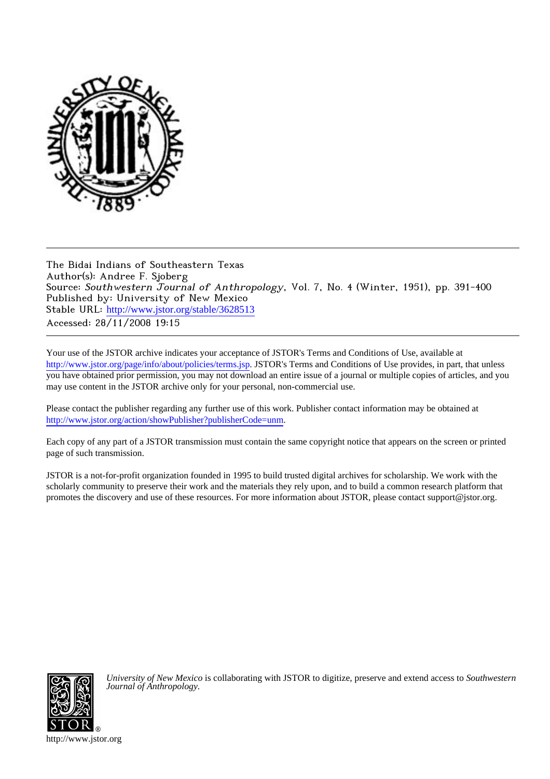

The Bidai Indians of Southeastern Texas Author(s): Andree F. Sjoberg Source: Southwestern Journal of Anthropology, Vol. 7, No. 4 (Winter, 1951), pp. 391-400 Published by: University of New Mexico Stable URL: [http://www.jstor.org/stable/3628513](http://www.jstor.org/stable/3628513?origin=JSTOR-pdf) Accessed: 28/11/2008 19:15

Your use of the JSTOR archive indicates your acceptance of JSTOR's Terms and Conditions of Use, available at <http://www.jstor.org/page/info/about/policies/terms.jsp>. JSTOR's Terms and Conditions of Use provides, in part, that unless you have obtained prior permission, you may not download an entire issue of a journal or multiple copies of articles, and you may use content in the JSTOR archive only for your personal, non-commercial use.

Please contact the publisher regarding any further use of this work. Publisher contact information may be obtained at [http://www.jstor.org/action/showPublisher?publisherCode=unm.](http://www.jstor.org/action/showPublisher?publisherCode=unm)

Each copy of any part of a JSTOR transmission must contain the same copyright notice that appears on the screen or printed page of such transmission.

JSTOR is a not-for-profit organization founded in 1995 to build trusted digital archives for scholarship. We work with the scholarly community to preserve their work and the materials they rely upon, and to build a common research platform that promotes the discovery and use of these resources. For more information about JSTOR, please contact support@jstor.org.



*University of New Mexico* is collaborating with JSTOR to digitize, preserve and extend access to *Southwestern Journal of Anthropology.*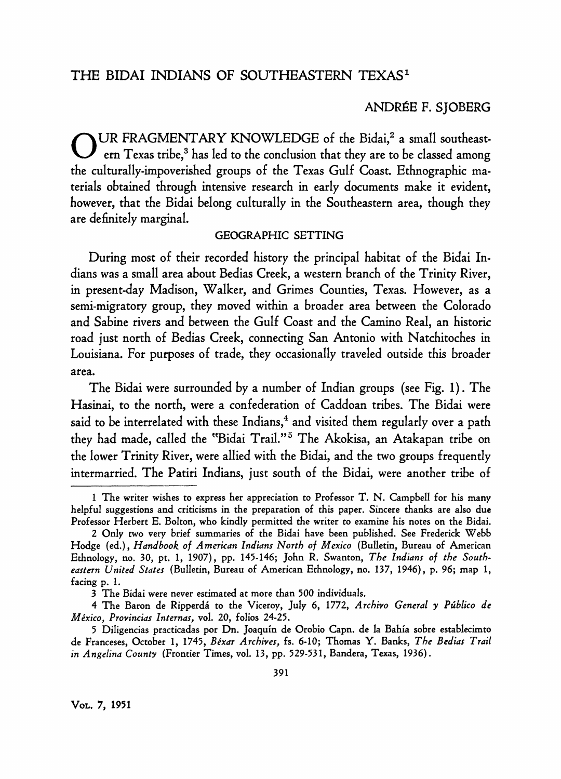## **ANDRÉE F. SJOBERG**

**O UR FRAGMENTARY KNOWLEDGE of the Bidai,2 a small southeast**ern Texas tribe,<sup>3</sup> has led to the conclusion that they are to be classed among **the culturally-impoverished groups of the Texas Gulf Coast. Ethnographic materials obtained through intensive research in early documents make it evident, however, that the Bidai belong culturally in the Southeastern area, though they are definitely marginal.** 

### **GEOGRAPHIC SETTING**

**During most of their recorded history the principal habitat of the Bidai Indians was a small area about Bedias Creek, a western branch of the Trinity River, in present-day Madison, Walker, and Grimes Counties, Texas. However, as a semi-migratory group, they moved within a broader area between the Colorado and Sabine rivers and between the Gulf Coast and the Camino Real, an historic road just north of Bedias Creek, connecting San Antonio with Natchitoches in Louisiana. For purposes of trade, they occasionally traveled outside this broader area.** 

**The Bidai were surrounded by a number of Indian groups (see Fig. 1). The Hasinai, to the north, were a confederation of Caddoan tribes. The Bidai were**  said to be interrelated with these Indians,<sup>4</sup> and visited them regularly over a path **they had made, called the "Bidai Trail."5 The Akokisa, an Atakapan tribe on the lower Trinity River, were allied with the Bidai, and the two groups frequently intermarried. The Patiri Indians, just south of the Bidai, were another tribe of** 

**<sup>1</sup> The writer wishes to express her appreciation to Professor T. N. Campbell for his many helpful suggestions and criticisms in the preparation of this paper. Sincere thanks are also due Professor Herbert E. Bolton, who kindly permitted the writer to examine his notes on the Bidai.** 

**<sup>2</sup> Only two very brief summaries of the Bidai have been published. See Frederick Webb Hodge (ed.), Handbook of American Indians North of Mexico (Bulletin, Bureau of American Ethnology, no. 30, pt. 1, 1907), pp. 145-146; John R. Swanton, The Indians of the Southeastern United States (Bulletin, Bureau of American Ethnology, no. 137, 1946), p. 96; map 1, facing p. 1.** 

**<sup>3</sup> The Bidai were never estimated at more than 500 individuals.** 

**<sup>4</sup> The Baron de Ripperda to the Viceroy, July 6, 1772, Archivo General y Publico de Mexico, Provincias Internas, vol. 20, folios 24-25.** 

**<sup>5</sup> Diligencias practicadas por Dn. Joaquin de Orobio Capn. de la Bahia sobre establecimto**  de Franceses, October 1, 1745, Béxar Archives, fs. 6-10; Thomas Y. Banks, The Bedias Trail **in Angelina County (Frontier Times, vol. 13, pp. 529-531, Bandera, Texas, 1936).**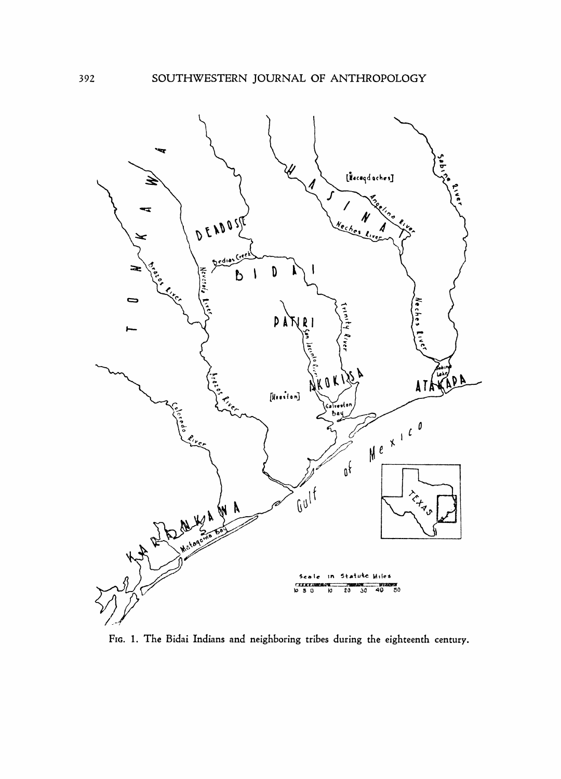

**FIG. 1. The Bidai Indians and neighboring tribes during the eighteenth century.** 

**392**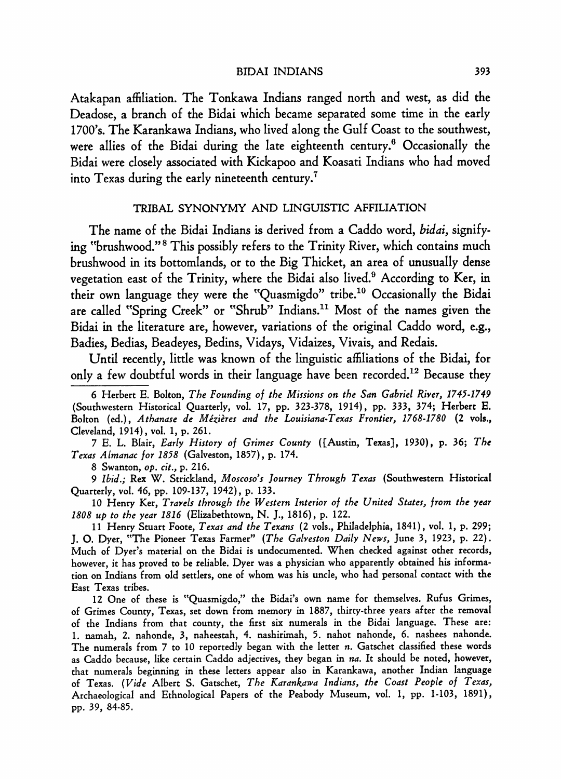#### **BIDAI INDIANS**

**Atakapan affiliation. The Tonkawa Indians ranged north and west, as did the Deadose, a branch of the Bidai which became separated some time in the early 1700's. The Karankawa Indians, who lived along the Gulf Coast to the southwest, were allies of the Bidai during the late eighteenth century.6 Occasionally the Bidai were closely associated with Kickapoo and Koasati Indians who had moved into Texas during the early nineteenth century.7** 

## **TRIBAL SYNONYMY AND LINGUISTIC AFFILIATION**

**The name of the Bidai Indians is derived from a Caddo word, bidai, signifying "brushwood."8 This possibly refers to the Trinity River, which contains much brushwood in its bottomlands, or to the Big Thicket, an area of unusually dense vegetation east of the Trinity, where the Bidai also lived.9 According to Ker, in their own language they were the "Quasmigdo" tribe.'0 Occasionally the Bidai**  are called "Spring Creek" or "Shrub" Indians.<sup>11</sup> Most of the names given the **Bidai in the literature are, however, variations of the original Caddo word, e.g., Badies, Bedias, Beadeyes, Bedins, Vidays, Vidaizes, Vivais, and Redais.** 

**Until recently, little was known of the linguistic affiliations of the Bidai, for only a few doubtful words in their language have been recorded.12 Because they** 

**6 Herbert E. Bolton, The Founding of the Missions on the San Gabriel River, 1745-1749 (Southwestern Historical Quarterly, vol. 17, pp. 323-378, 1914), pp. 333, 374; Herbert E. Bolton (ed.), Athanase de Mezieres and the Louisiana-Texas Frontier, 1768-1780 (2 vols., Cleveland, 1914), vol. 1, p. 261.** 

**7 E. L. BIair, Early History of Grimes County ([Austin, Texas), 1930), p. 36; The Texas Almanac for 1858 (Galveston, 1857), p. 174.** 

**8 Swanton, op. cit., p. 216.** 

**9 Ibid.; Rex W. Strickland, Moscoso's Journey Through Texas (Southwestern Historical Quarterly, vol. 46, pp. 109-137, 1942), p. 133.** 

**10 Henry Ker, Travels through the Western Interior of the United States, from the year 1808 up to the year 1816 (Elizabethtown, N. J., 1816), p. 122.** 

**11 Henry Stuart Foote, Texas and the Texans (2 vols., Philadelphia, 1841), vol. 1, p. 299; J. O. Dyer, "The Pioneer Texas Farmer" (The Galveston Daily News, June 3, 1923, p. 22). Much of Dyer's material on the Bidai is undocumented. When checked against other records, however, it has proved to be reliable. Dyer was a physician who apparently obtained his information on Indians from old settlers, one of whom was his uncle, who had personal contact with the East Texas tribes.** 

**12 One of these is "Quasmigdo," the Bidai's own name for themselves. Rufus Grimes, of Grimes County, Texas, set down from memory in 1887, thirty-three years after the removal of the Indians from that county, the first six numerals in the Bidai language. These are: 1. namah, 2. nahonde, 3, naheestah, 4. nashirimah, 5. nahot nahonde, 6. nashees nahonde. The numerals from 7 to 10 reportedly began with the letter n. Gatschet classified these words as Caddo because, like certain Caddo adjectives, they began in na. It should be noted, however, that numerals beginning in these letters appear also in Karankawa, another Indian language of Texas. (Vide Albert S. Gatschet, The Karankawa Indians, the Coast People of Texas, Archaeological and Ethnological Papers of the Peabody Museum, vol. 1, pp. 1-103, 1891), pp. 39, 84-85.**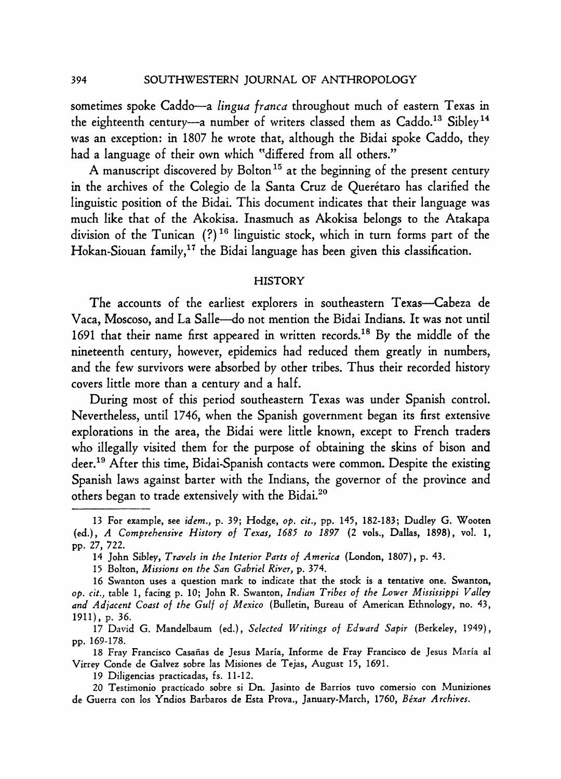sometimes spoke Caddo—a *lingua franca* throughout much of eastern Texas in the eighteenth century-a number of writers classed them as Caddo.<sup>13</sup> Sibley<sup>14</sup> **was an exception: in 1807 he wrote that, although the Bidai spoke Caddo, they had a language of their own which "differed from all others."** 

**A manuscript discovered by Bolton15 at the beginning of the present century**  in the archives of the Colegio de la Santa Cruz de Querétaro has clarified the **linguistic position of the Bidai. This document indicates that their language was much like that of the Akokisa. Inasmuch as Akokisa belongs to the Atakapa division of the Tunican (?)16 linguistic stock, which in turn forms part of the Hokan-Siouan family,17 the Bidai language has been given this classification.** 

### **HISTORY**

The accounts of the earliest explorers in southeastern Texas-Cabeza de **Vaca, Moscoso, and La Salle-do not mention the Bidai Indians. It was not until 1691 that their name first appeared in written records.18 By the middle of the nineteenth century, however, epidemics had reduced them greatly in numbers, and the few survivors were absorbed by other tribes. Thus their recorded history covers little more than a century and a half.** 

**During most of this period southeastern Texas was under Spanish control. Nevertheless, until 1746, when the Spanish government began its first extensive explorations in the area, the Bidai were little known, except to French traders who illegally visited them for the purpose of obtaining the skins of bison and deer.'9 After this time, Bidai-Spanish contacts were common. Despite the existing Spanish laws against barter with the Indians, the governor of the province and others began to trade extensively with the Bidai.20** 

**19 Diligencias practicadas, fs. 11-12.** 

**<sup>13</sup> For example, see idem., p. 39; Hodge, op. cit., pp. 145, 182-183; Dudley G. Wooten (ed.), A Comprehensive History of Texas, 1685 to 1897 (2 vols., Dallas, 1898), vol. 1, pp. 27, 722.** 

**<sup>14</sup> John Sibley, Travels in the Interior Parts of America (London, 1807), p. 43.** 

**<sup>15</sup> Bolton, Missions on the San Gabriel River, p. 374.** 

**<sup>16</sup> Swanton uses a question mark to indicate that the stock is a tentative one. Swanton, op. cit., table 1, facing p. 10; John R. Swanton, Indian Tribes of the Lower Mississippi Valley and Adjacent Coast of the Gulf of Mexico (Bulletin, Bureau of American Ethnology, no. 43, 1911), p. 36.** 

**<sup>17</sup> David G. Mandelbaum (ed.), Selected Writings of Edward Sapir (Berkeley, 1949), pp. 169-178.** 

**<sup>18</sup> Fray Francisco Casafias de Jesus Maria, Informe de Fray Francisco de Jesus Maria al Virrey Conde de Galvez sobre las Misiones de Tejas, August 15, 1691.** 

**<sup>20</sup> Testimonio practicado sobre si Dn. Jasinto de Barrios tuvo comersio con Muniziones**  de Guerra con los Yndios Barbaros de Esta Prova., January-March, 1760, Béxar Archives.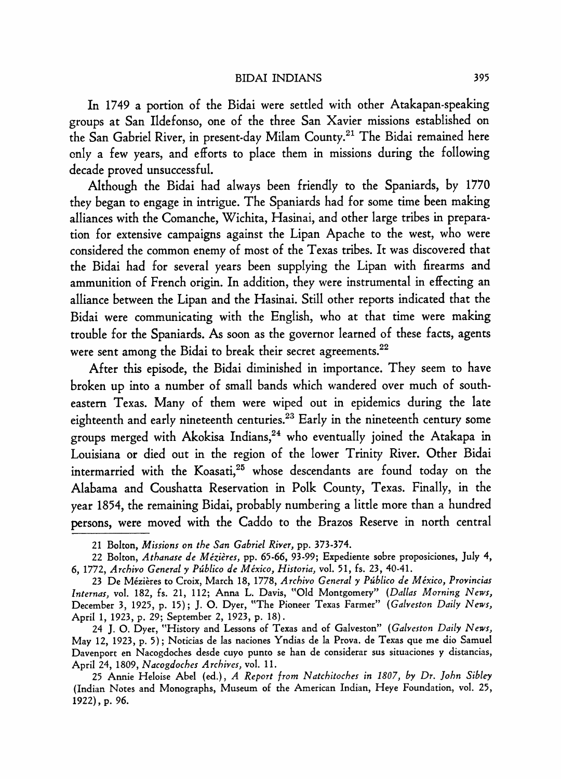**In 1749 a portion of the Bidai were settled with other Atakapan-speaking groups at San Ildefonso, one of the three San Xavier missions established on the San Gabriel River, in present-day Milam County.21 The Bidai remained here only a few years, and efforts to place them in missions during the following decade proved unsuccessful.** 

**Although the Bidai had always been friendly to the Spaniards, by 1770 they began to engage in intrigue. The Spaniards had for some time been making alliances with the Comanche, Wichita, Hasinai, and other large tribes in preparation for extensive campaigns against the Lipan Apache to the west, who were considered the common enemy of most of the Texas tribes. It was discovered that the Bidai had for several years been supplying the Lipan with firearms and ammunition of French origin. In addition, they were instrumental in effecting an alliance between the Lipan and the Hasinai. Still other reports indicated that the Bidai were communicating with the English, who at that time were making trouble for the Spaniards. As soon as the governor learned of these facts, agents were sent among the Bidai to break their secret agreements.22** 

**After this episode, the Bidai diminished in importance. They seem to have broken up into a number of small bands which wandered over much of southeastern Texas. Many of them were wiped out in epidemics during the late eighteenth and early nineteenth centuries.23 Early in the nineteenth century some**  groups merged with Akokisa Indians,<sup>24</sup> who eventually joined the Atakapa in **Louisiana or died out in the region of the lower Trinity River. Other Bidai**  intermarried with the Koasati,<sup>25</sup> whose descendants are found today on the **Alabama and Coushatta Reservation in Polk County, Texas. Finally, in the year 1854, the remaining Bidai, probably numbering a little more than a hundred persons, were moved with the Caddo to the Brazos Reserve in north central** 

**24 J. O. Dyer, "History and Lessons of Texas and of Galveston" (Galveston Daily News, May 12, 1923, p. 5); Noticias de las naciones Yndias de la Prova. de Texas que me dio Samuel Davenport en Nacogdoches desde cuyo punto se han de considerar sus situaciones y distancias, April 24, 1809, Nacogdoches Archives, vol. 11.** 

**25 Annie Heloise Abel (ed.), A Report from Natchitoches in 1807, by Dr. John Sibley (Indian Notes and Monographs, Museum of the American Indian, Heye Foundation, vol. 25, 1922), p. 96.** 

**<sup>21</sup> Bolton, Missions on the San Gabriel River, pp. 373-374.** 

**<sup>22</sup> Bolton, Athanase de Mezieres, pp. 65-66, 93-99; Expediente sobre proposiciones, July 4, 6, 1772, Archivo General y Publico de Mexico, Historia, vol. 51, fs. 23, 40-41.** 

<sup>23</sup> De Mézières to Croix, March 18, 1778, Archivo General y Público de México, Provincias **Internas, vol. 182, fs. 21, 112; Anna L. Davis, "Old Montgomery" (Dallas Morning News, December 3, 1925, p. 15); J. O. Dyer, "The Pioneer Texas Farmer" (Galveston Daily News, April 1, 1923, p. 29; September 2, 1923, p. 18).**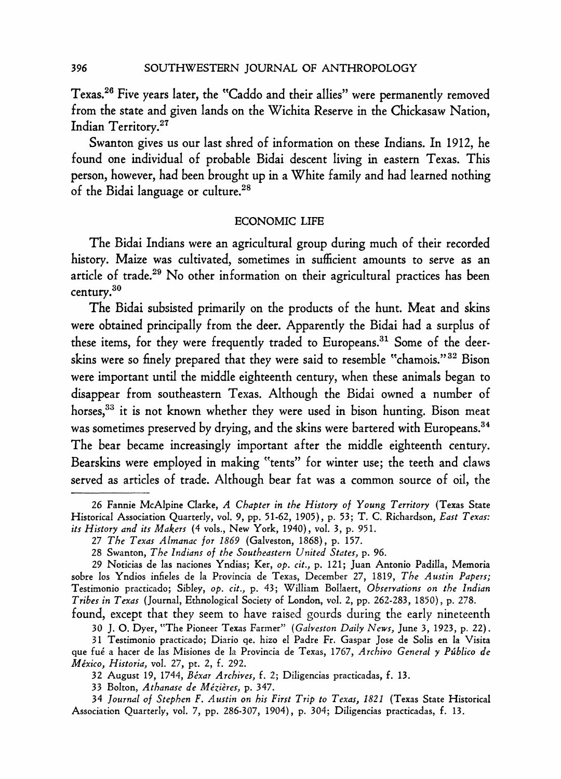**Texas.26 Five years later, the "Caddo and their allies" were permanently removed from the state and given lands on the Wichita Reserve in the Chickasaw Nation, Indian Territory.27** 

**Swanton gives us our last shred of information on these Indians. In 1912, he found one individual of probable Bidai descent living in eastern Texas. This person, however, had been brought up in a White family and had learned nothing of the Bidai language or culture.28** 

### **ECONOMIC LIFE**

**The Bidai Indians were an agricultural group during much of their recorded history. Maize was cultivated, sometimes in sufficient amounts to serve as an article of trade.29 No other information on their agricultural practices has been century.30** 

**The Bidai subsisted primarily on the products of the hunt. Meat and skins were obtained principally from the deer. Apparently the Bidai had a surplus of these items, for they were frequently traded to Europeans.31 Some of the deerskins were so finely prepared that they were said to resemble "chamois."32 Bison were important until the middle eighteenth century, when these animals began to disappear from southeastern Texas. Although the Bidai owned a number of horses,33 it is not known whether they were used in bison hunting. Bison meat was sometimes preserved by drying, and the skins were bartered with Europeans.34 The bear became increasingly important after the middle eighteenth century. Bearskins were employed in making "tents" for winter use; the teeth and claws served as articles of trade. Although bear fat was a common source of oil, the** 

**396** 

**<sup>26</sup> Fannie McAlpine Clarke, A Chapter in the History of Young Territory (Texas State Historical Association Quarterly, vol. 9, pp. 51-62, 1905), p. 53; T. C. Richardson, East Texas: its History and its Makers (4 vols., New York, 1940), vol. 3, p. 951.** 

**<sup>27</sup> The Texas Almanac for 1869 (Galveston, 1868), p. 157.** 

**<sup>28</sup> Swanton, The Indians of the Southeastern United States, p. 96.** 

**<sup>29</sup> Noticias de las naciones Yndias; Ker, op. cit., p. 121; Juan Antonio Padilla, Memoria sobre los Yndios infieles de la Provincia de Texas, December 27, 1819, The Austin Papers; Testimonio practicado; Sibley, op. cit., p. 43; William Bol!aert, Observations on the Indian Tribes in Texas (Journal, Ethnological Society of London, vol. 2, pp. 262-283, 1850), p. 278.** 

**found, except that they seem to have raised gourds during the early nineteenth** 

**<sup>30</sup> J. 0. Dyer, "The Pioneer Texas Farmer" (Galveston Daily News, June 3, 1923, p. 22). 31 Testimonio practicado; Diario qe. hizo el Padre Fr. Gaspar Jose de Solis en la Visita que fue a hacer de las Misiones de la Provincia de Texas, 1767, Archivo General y Publico de Mexico, Historia, vol. 27, pt. 2, f. 292.** 

**<sup>32</sup> August 19, 1744, Bexar Archives, f. 2; Diligencias practicadas, f. 13.** 

**<sup>33</sup> Bolton, Athanase de Mezieres, p. 347.** 

**<sup>34</sup> Journal of Stephen F. Austin on his First Trip to Texas, 1821 (Texas State Historical Association Quarterly, vol. 7, pp. 286-307, 1904), p. 304; Diligencias practicadas, f. 13.**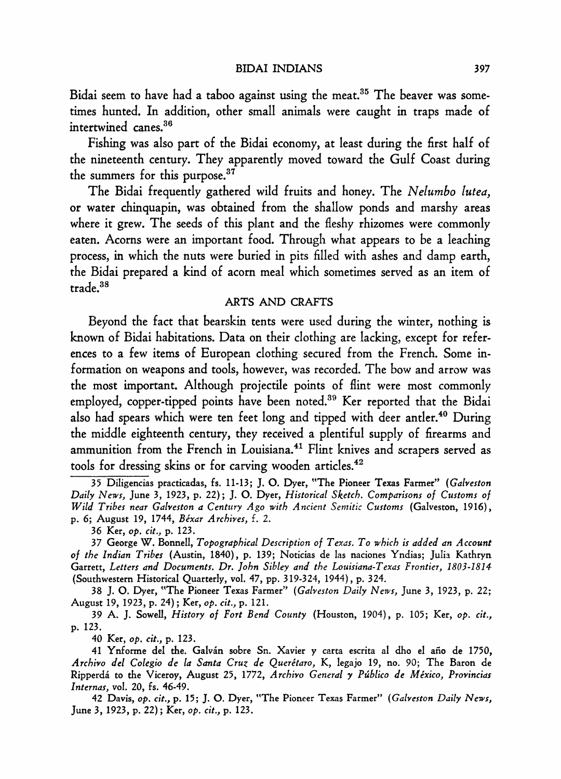**Bidai seem to have had a taboo against using the meat.35 The beaver was sometimes hunted. In addition, other small animals were caught in traps made of intertwined canes.36** 

**Fishing was also part of the Bidai economy, at least during the first half of the nineteenth century. They apparently moved toward the Gulf Coast during the summers for this purpose.37** 

**The Bidai frequently gathered wild fruits and honey. The Nelumbo lutea, or water chinquapin, was obtained from the shallow ponds and marshy areas where it grew. The seeds of this plant and the fleshy rhizomes were commonly eaten. Acorns were an important food. Through what appears to be a leaching process, in which the nuts were buried in pits filled with ashes and damp earth, the Bidai prepared a kind of acorn meal which sometimes served as an item of trade.38** 

## **ARTS AND CRAFTS**

**Beyond the fact that bearskin tents were used during the winter, nothing is known of Bidai habitations. Data on their clothing are lacking, except for references to a few items of European clothing secured from the French. Some information on weapons and tools, however, was recorded. The bow and arrow was the most important. Although projectile points of flint were most commonly employed, copper-tipped points have been noted.39 Ker reported that the Bidai also had spears which were ten feet long and tipped with deer antler.40 During the middle eighteenth century, they received a plentiful supply of firearms and ammunition from the French in Louisiana.4' Flint knives and scrapers served as tools for dressing skins or for carving wooden articles.42** 

**37 George W. Bonnell, Topographical Description of Texas. To which is added an Account of the Indian Tribes (Austin, 1840), p. 139; Noticias de las naciones Yndias; Julia Kathryn Garrett, Letters and Documents. Dr. John Sibley and the Louisiana-Texas Frontier, 1803-1814 (Southwestern Historical Quarterly, vol. 47, pp. 319-324, 1944), p. 324.** 

**38 J. O. Dyer, "The Pioneer Texas Farmer" (Galveston Daily News, June 3, 1923, p. 22; August 19, 1923, p. 24); Ker, op. cit., p. 121.** 

**39 A. J. Sowell, History of Fort Bend County (Houston, 1904), p. 105; Ker, op. cit., p. 123.** 

**40 Ker, op. cit., p. 123.** 

**41 Ynforme del the. Galvan sobre Sn. Xavier y carta escrita al dho el afio de 1750, Archivo del Colegio de la Santa Cruz de Queretaro, K, legajo 19, no. 90; The Baron de Ripperda to the Viceroy, August 25, 1772, Archivo General y Publico de Mexico, Provincias Internas, vol. 20, fs. 46-49.** 

**42 Davis, op. cit., p. 15; J. O. Dyer, "The Pioneer Texas Farmer" (Galveston Daily News, June 3, 1923, p. 22); Ker, op. cit., p. 123.** 

**<sup>35</sup> Diligencias practicadas, fs. 11-13; J. O. Dyer, "The Pioneer Texas Farmer" (Galveston Daily News, June 3, 1923, p. 22); J. O. Dyer, Historical Sketch. Comparisons of Customs of Wild Tribes near Galveston a Century Ago with Ancient Semitic Customs (Galveston, 1916), p. 6; August 19, 1744, Bexar Archives, f. 2.** 

**<sup>36</sup> Ker, op. cit., p. 123.**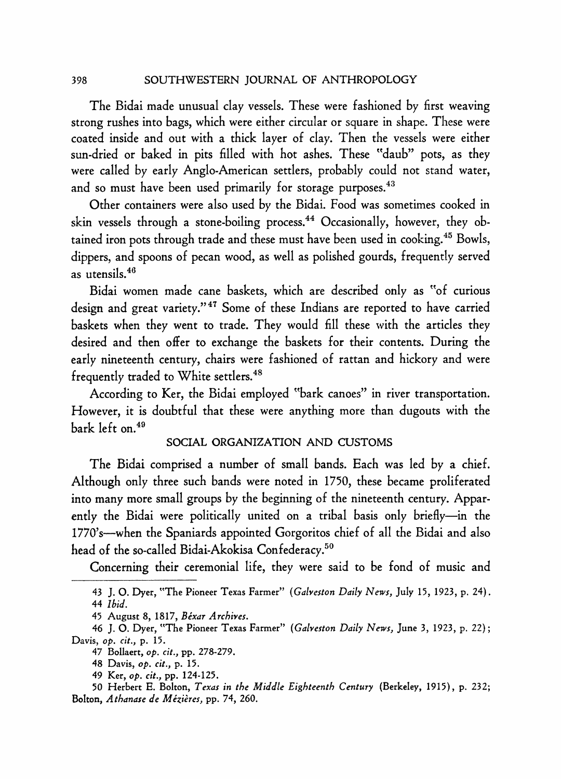**SOUTHWESTERN JOURNAL OF ANTHROPOLOGY** 

**The Bidai made unusual clay vessels. These were fashioned by first weaving strong rushes into bags, which were either circular or square in shape. These were coated inside and out with a thick layer of clay. Then the vessels were either sun-dried or baked in pits filled with hot ashes. These "daub" pots, as they were called by early Anglo-American settlers, probably could not stand water, and so must have been used primarily for storage purposes.43** 

**Other containers were also used by the Bidai. Food was sometimes cooked in**  skin vessels through a stone-boiling process.<sup>44</sup> Occasionally, however, they ob**tained iron pots through trade and these must have been used in cooking.45 Bowls, dippers, and spoons of pecan wood, as well as polished gourds, frequently served as utensils.46** 

**Bidai women made cane baskets, which are described only as "of curious design and great variety."47 Some of these Indians are reported to have carried baskets when they went to trade. They would fill these with the articles they desired and then offer to exchange the baskets for their contents. During the early nineteenth century, chairs were fashioned of rattan and hickory and were frequently traded to White settlers.48** 

**According to Ker, the Bidai employed "bark canoes" in river transportation. However, it is doubtful that these were anything more than dugouts with the bark left on.49** 

## **SOCIAL ORGANIZATION AND CUSTOMS**

**The Bidai comprised a number of small bands. Each was led by a chief. Although only three such bands were noted in 1750, these became proliferated into many more small groups by the beginning of the nineteenth century. Apparently the Bidai were politically united on a tribal basis only briefly-in the 1770's-when the Spaniards appointed Gorgoritos chief of all the Bidai and also head of the so-called Bidai-Akokisa Confederacy.50** 

**Concerning their ceremonial life, they were said to be fond of music and** 

**<sup>43</sup> J. 0. Dyer, "The Pioneer Texas Farmer" (Galveston Daily News, July 15, 1923, p. 24). 44 Ibid.** 

**<sup>45</sup> August 8, 1817, Bexar Archives.** 

**<sup>46</sup> J. O. Dyer, "The Pioneer Texas Farmer" (Galveston Daily News, June 3, 1923, p. 22); Davis, op. cit., p. 15.** 

**<sup>47</sup> Bollaert, op. cit., pp. 278-279.** 

**<sup>48</sup> Davis, op. cit., p. 15.** 

**<sup>49</sup> Ker, op. cit., pp. 124-125.** 

**<sup>50</sup> Herbert E. Bolton, Texas in the Middle Eighteenth Century (Berkeley, 1915), p. 232;**  Bolton, Athanase de Mézières, pp. 74, 260.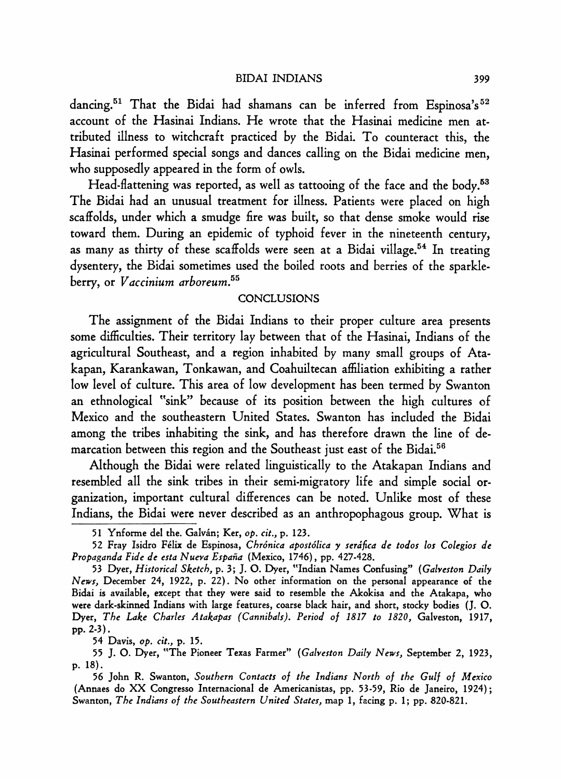### **BIDAI INDIANS**

**dancing.51 That the Bidai had shamans can be inferred from Espinosa's52 account of the Hasinai Indians. He wrote that the Hasinai medicine men attributed illness to witchcraft practiced by the Bidai. To counteract this, the Hasinai performed special songs and dances calling on the Bidai medicine men, who supposedly appeared in the form of owls.** 

**Head-flattening was reported, as well as tattooing of the face and the body.63 The Bidai had an unusual treatment for illness. Patients were placed on high scaffolds, under which a smudge fire was built, so that dense smoke would rise toward them. During an epidemic of typhoid fever in the nineteenth century, as many as thirty of these scaffolds were seen at a Bidai village.54 In treating dysentery, the Bidai sometimes used the boiled roots and berries of the sparkleberry, or Vaccinium arboreum.55** 

# **CONCLUSIONS**

**The assignment of the Bidai Indians to their proper culture area presents some difficulties. Their territory lay between that of the Hasinai, Indians of the agricultural Southeast, and a region inhabited by many small groups of Atakapan, Karankawan, Tonkawan, and Coahuiltecan affiliation exhibiting a rather low level of culture. This area of low development has been termed by Swanton an ethnological "sink" because of its position between the high cultures of Mexico and the southeastern United States. Swanton has included the Bidai among the tribes inhabiting the sink, and has therefore drawn the line of demarcation between this region and the Southeast just east of the Bidai.56** 

**Although the Bidai were related linguistically to the Atakapan Indians and resembled all the sink tribes in their semi-migratory life and simple social organization, important cultural differences can be noted. Unlike most of these Indians, the Bidai were never described as an anthropophagous group. What is** 

**54 Davis, op. cit., p. 15.** 

**<sup>51</sup> Ynforme del the. Galvan; Ker, op. cit., p. 123.** 

**<sup>52</sup> Fray Isidro Felix de Espinosa, Chronica apostolica y serdfica de todos los Colegios de**  Propaganda Fide de esta Nueva España (Mexico, 1746), pp. 427-428.

**<sup>53</sup> Dyer, Historical Sketch, p. 3; J. 0. Dyer, "Indian Names Confusing" (Galveston Daily News, December 24, 1922, p. 22). No other information on the personal appearance of the Bidai is available, except that they were said to resemble the Akokisa and the Atakapa, who were dark-skinned Indians with large features, coarse black hair, and short, stocky bodies (J. O. Dyer, The Lake Charles Atakapas (Cannibals). Period of 1817 to 1820, Galveston, 1917, pp. 2-3).** 

**<sup>55</sup> J. O. Dyer, "The Pioneer Texas Farmer" (Galveston Daily News, September 2, 1923, p. 18).** 

**<sup>56</sup> John R. Swanton, Southern Contacts of the Indians North of the Gulf of Mexico (Annaes do XX Congresso Internacional de Americanistas, pp. 53-59, Rio de Janeiro, 1924); Swanton, The Indians of the Southeastern United States, map 1, facing p. 1; pp. 820-821.**